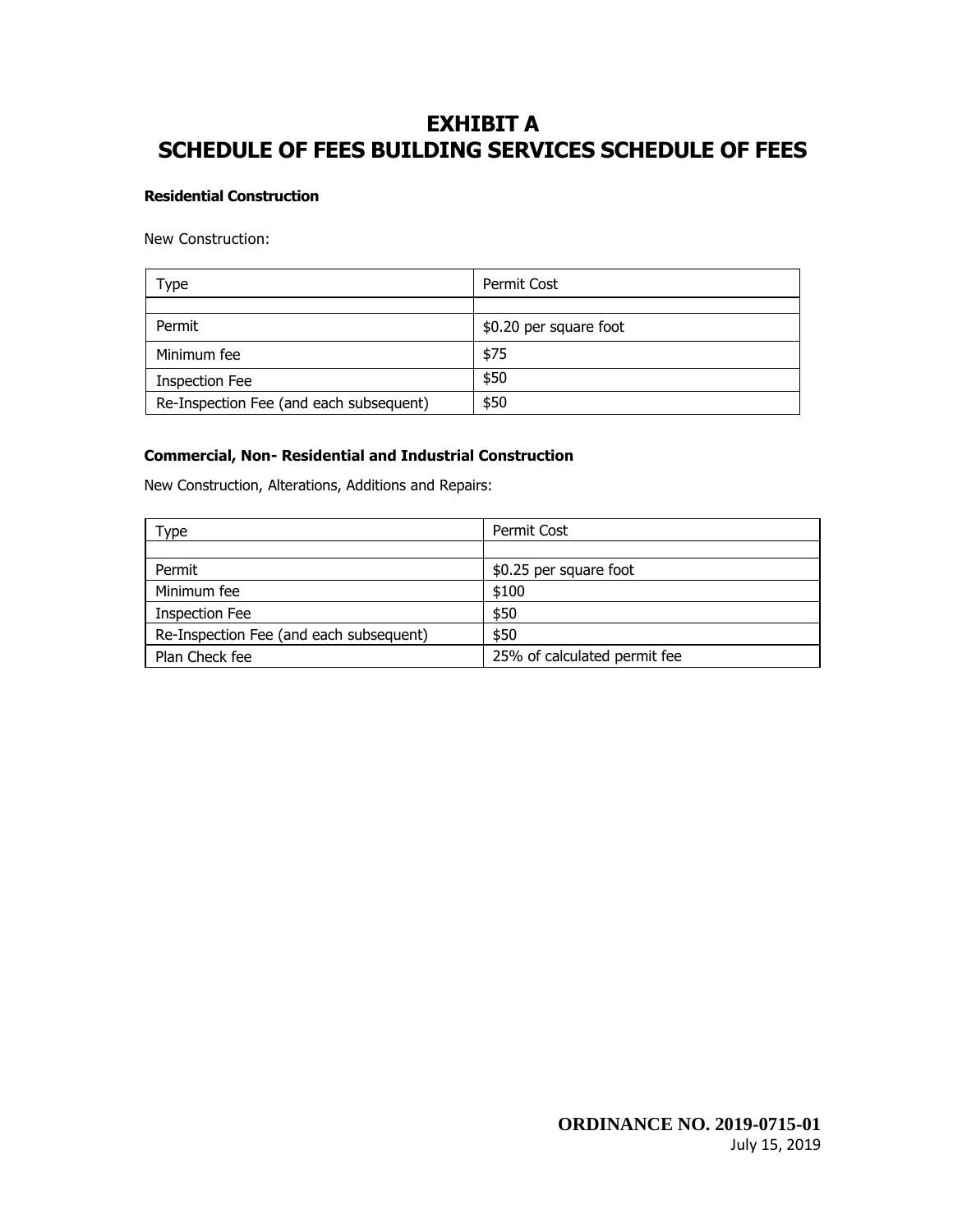# **EXHIBIT A SCHEDULE OF FEES BUILDING SERVICES SCHEDULE OF FEES**

# **Residential Construction**

New Construction:

| Type                                    | Permit Cost            |
|-----------------------------------------|------------------------|
|                                         |                        |
| Permit                                  | \$0.20 per square foot |
| Minimum fee                             | \$75                   |
| <b>Inspection Fee</b>                   | \$50                   |
| Re-Inspection Fee (and each subsequent) | \$50                   |

# **Commercial, Non- Residential and Industrial Construction**

New Construction, Alterations, Additions and Repairs:

| Type                                    | Permit Cost                  |
|-----------------------------------------|------------------------------|
|                                         |                              |
| Permit                                  | \$0.25 per square foot       |
| Minimum fee                             | \$100                        |
| <b>Inspection Fee</b>                   | \$50                         |
| Re-Inspection Fee (and each subsequent) | \$50                         |
| Plan Check fee                          | 25% of calculated permit fee |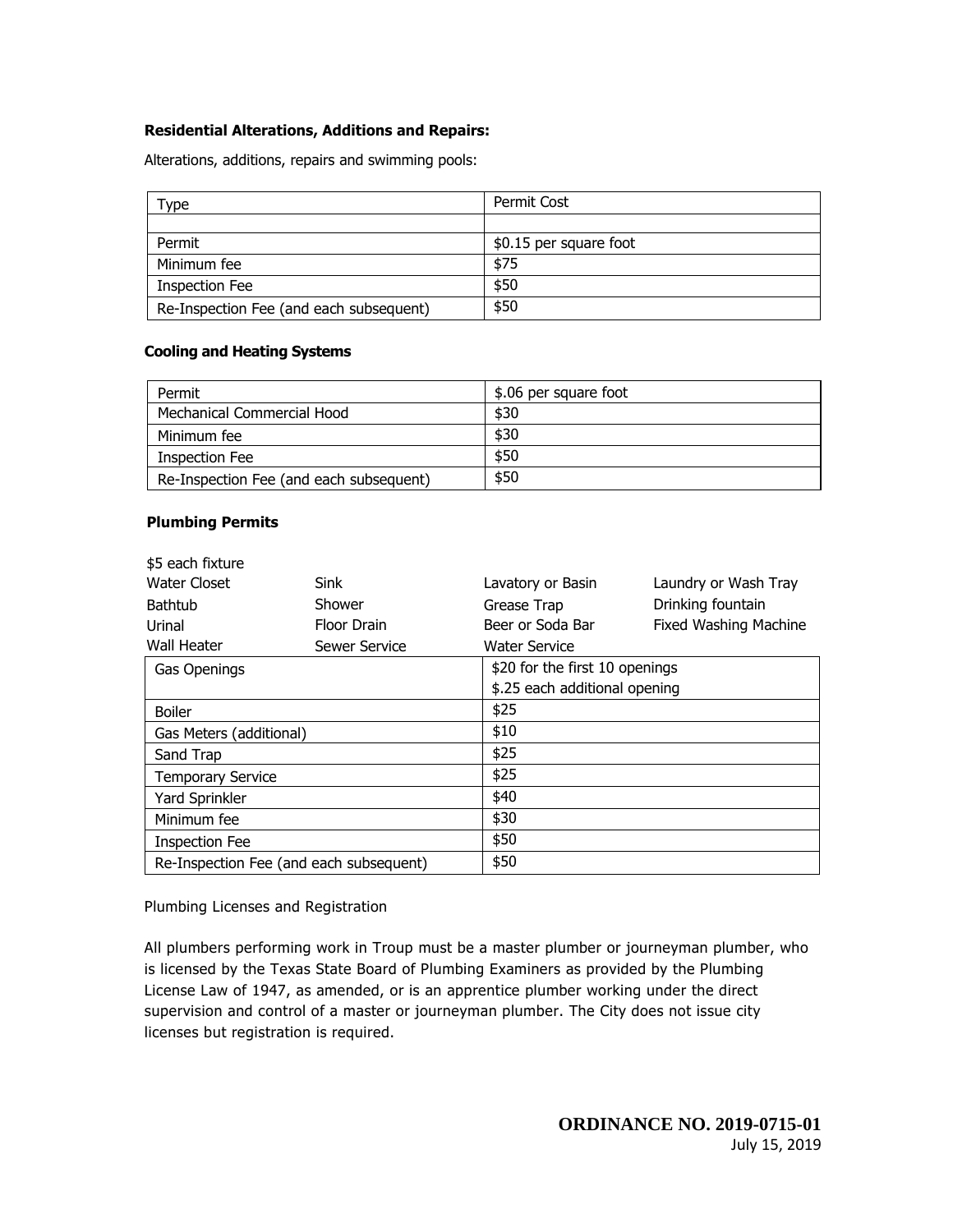# **Residential Alterations, Additions and Repairs:**

Alterations, additions, repairs and swimming pools:

| Type -                                  | Permit Cost            |
|-----------------------------------------|------------------------|
|                                         |                        |
| Permit                                  | \$0.15 per square foot |
| Minimum fee                             | \$75                   |
| <b>Inspection Fee</b>                   | \$50                   |
| Re-Inspection Fee (and each subsequent) | \$50                   |

### **Cooling and Heating Systems**

| Permit                                  | \$.06 per square foot |
|-----------------------------------------|-----------------------|
| Mechanical Commercial Hood              | \$30                  |
| Minimum fee                             | \$30                  |
| <b>Inspection Fee</b>                   | \$50                  |
| Re-Inspection Fee (and each subsequent) | \$50                  |

# **Plumbing Permits**

| \$5 each fixture                        |               |                                |                              |
|-----------------------------------------|---------------|--------------------------------|------------------------------|
| Water Closet                            | Sink          | Lavatory or Basin              | Laundry or Wash Tray         |
| <b>Bathtub</b>                          | Shower        | Grease Trap                    | Drinking fountain            |
| Urinal                                  | Floor Drain   | Beer or Soda Bar               | <b>Fixed Washing Machine</b> |
| Wall Heater                             | Sewer Service | Water Service                  |                              |
| Gas Openings                            |               | \$20 for the first 10 openings |                              |
|                                         |               | \$.25 each additional opening  |                              |
| <b>Boiler</b>                           |               | \$25                           |                              |
| \$10<br>Gas Meters (additional)         |               |                                |                              |
| \$25<br>Sand Trap                       |               |                                |                              |
| \$25<br><b>Temporary Service</b>        |               |                                |                              |
| Yard Sprinkler                          |               | \$40                           |                              |
| \$30<br>Minimum fee                     |               |                                |                              |
| \$50<br><b>Inspection Fee</b>           |               |                                |                              |
| Re-Inspection Fee (and each subsequent) |               | \$50                           |                              |

Plumbing Licenses and Registration

All plumbers performing work in Troup must be a master plumber or journeyman plumber, who is licensed by the Texas State Board of Plumbing Examiners as provided by the Plumbing License Law of 1947, as amended, or is an apprentice plumber working under the direct supervision and control of a master or journeyman plumber. The City does not issue city licenses but registration is required.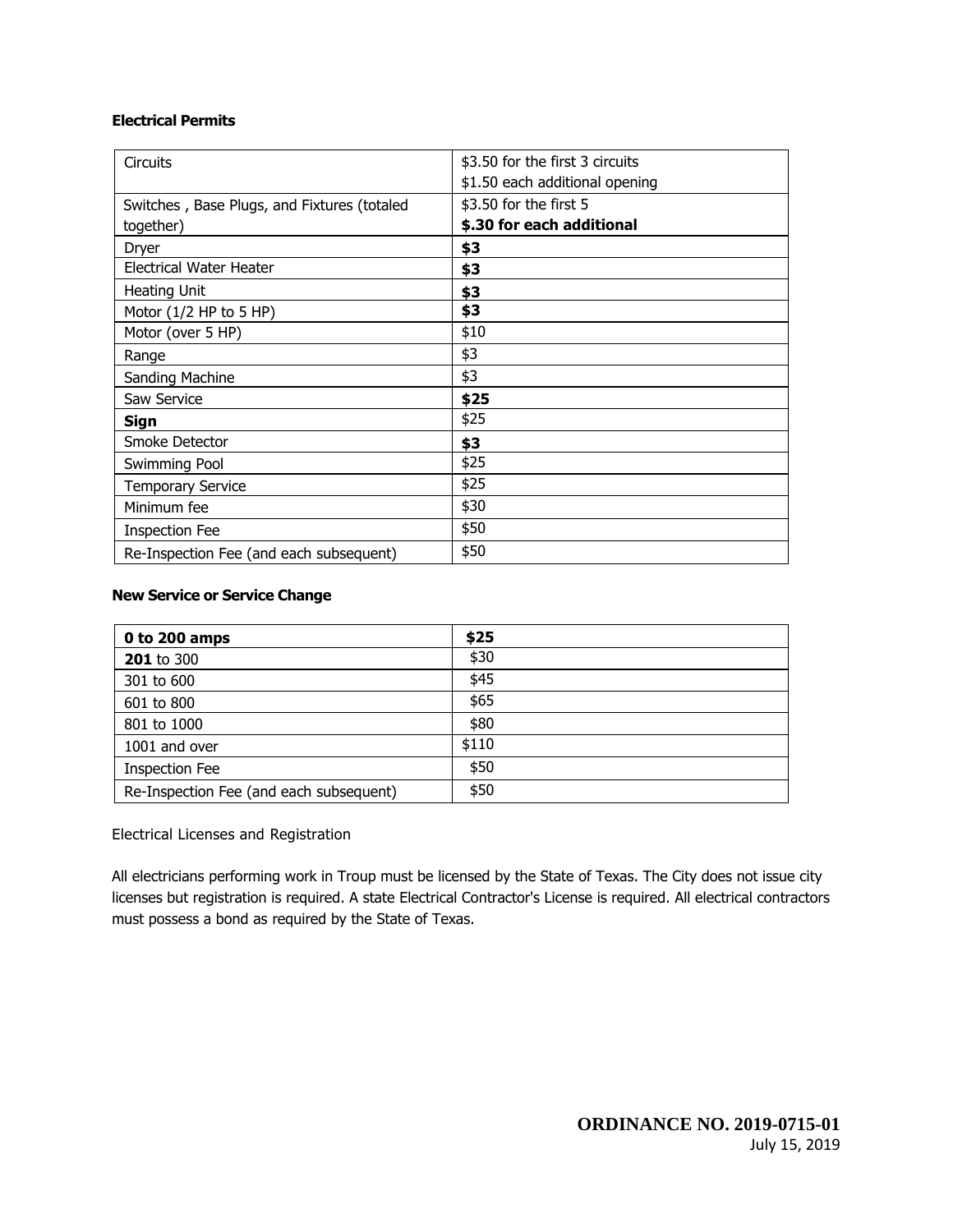# **Electrical Permits**

| <b>Circuits</b>                             | \$3.50 for the first 3 circuits |
|---------------------------------------------|---------------------------------|
|                                             | \$1.50 each additional opening  |
| Switches, Base Plugs, and Fixtures (totaled | \$3.50 for the first 5          |
| together)                                   | \$.30 for each additional       |
| Dryer                                       | \$3                             |
| Electrical Water Heater                     | \$3                             |
| Heating Unit                                | \$3                             |
| Motor $(1/2$ HP to 5 HP)                    | \$3                             |
| Motor (over 5 HP)                           | \$10                            |
| Range                                       | \$3                             |
| Sanding Machine                             | \$3                             |
| Saw Service                                 | \$25                            |
| Sign                                        | \$25                            |
| Smoke Detector                              | \$3                             |
| Swimming Pool                               | \$25                            |
| <b>Temporary Service</b>                    | \$25                            |
| Minimum fee                                 | \$30                            |
| <b>Inspection Fee</b>                       | \$50                            |
| Re-Inspection Fee (and each subsequent)     | \$50                            |

# **New Service or Service Change**

| 0 to 200 amps                           | \$25  |
|-----------------------------------------|-------|
| <b>201</b> to 300                       | \$30  |
| 301 to 600                              | \$45  |
| 601 to 800                              | \$65  |
| 801 to 1000                             | \$80  |
| 1001 and over                           | \$110 |
| <b>Inspection Fee</b>                   | \$50  |
| Re-Inspection Fee (and each subsequent) | \$50  |

# Electrical Licenses and Registration

All electricians performing work in Troup must be licensed by the State of Texas. The City does not issue city licenses but registration is required. A state Electrical Contractor's License is required. All electrical contractors must possess a bond as required by the State of Texas.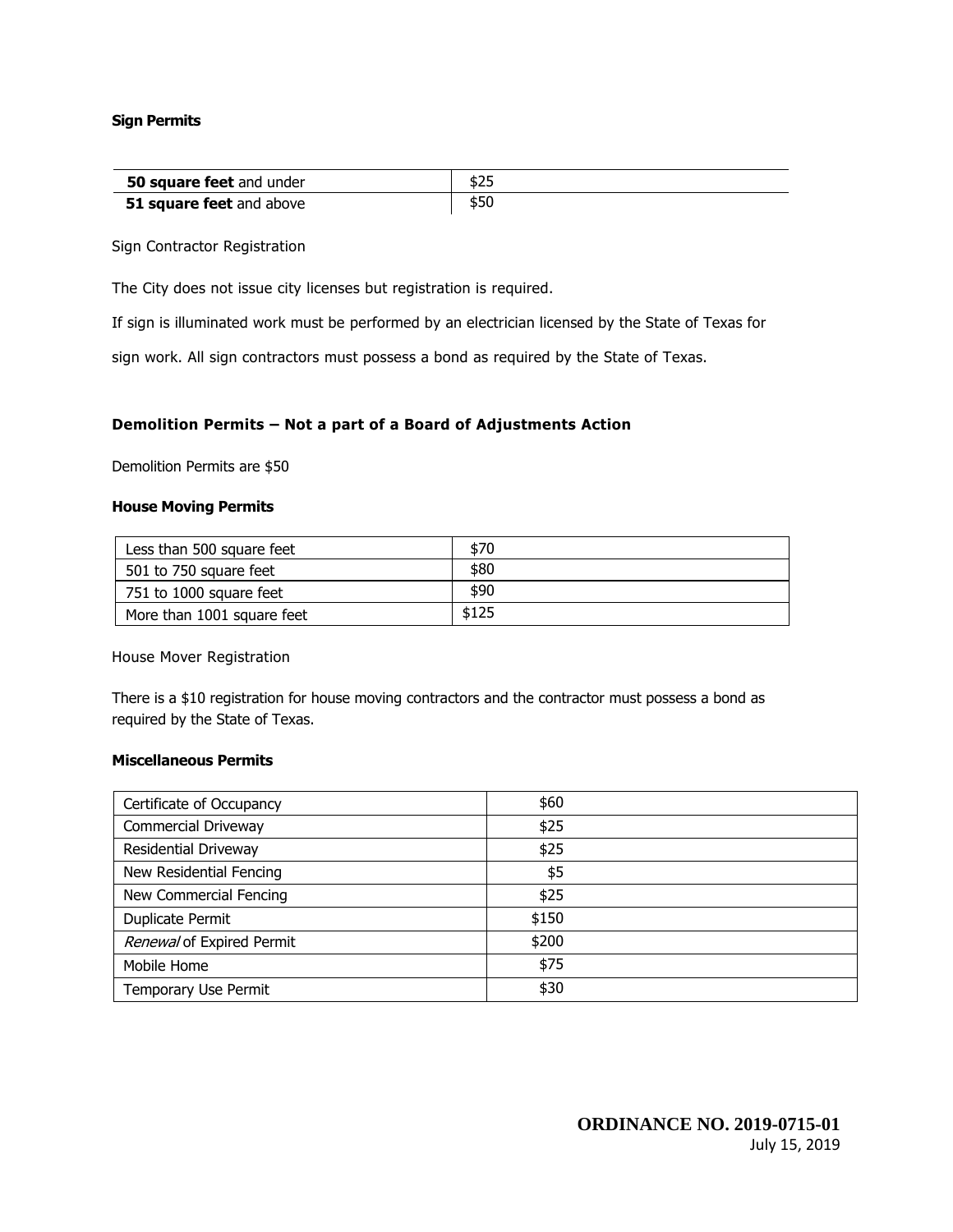## **Sign Permits**

| <b>50 square feet</b> and under | כ∠ב |
|---------------------------------|-----|
| 51 square feet and above        |     |

Sign Contractor Registration

The City does not issue city licenses but registration is required.

If sign is illuminated work must be performed by an electrician licensed by the State of Texas for

sign work. All sign contractors must possess a bond as required by the State of Texas.

### **Demolition Permits – Not a part of a Board of Adjustments Action**

Demolition Permits are \$50

#### **House Moving Permits**

| Less than 500 square feet  | \$70  |
|----------------------------|-------|
| 501 to 750 square feet     | \$80  |
| 751 to 1000 square feet    | \$90  |
| More than 1001 square feet | \$125 |

House Mover Registration

There is a \$10 registration for house moving contractors and the contractor must possess a bond as required by the State of Texas.

# **Miscellaneous Permits**

| Certificate of Occupancy    | \$60  |  |
|-----------------------------|-------|--|
| <b>Commercial Driveway</b>  | \$25  |  |
| <b>Residential Driveway</b> | \$25  |  |
| New Residential Fencing     | \$5   |  |
| New Commercial Fencing      | \$25  |  |
| <b>Duplicate Permit</b>     | \$150 |  |
| Renewal of Expired Permit   | \$200 |  |
| Mobile Home                 | \$75  |  |
| Temporary Use Permit        | \$30  |  |